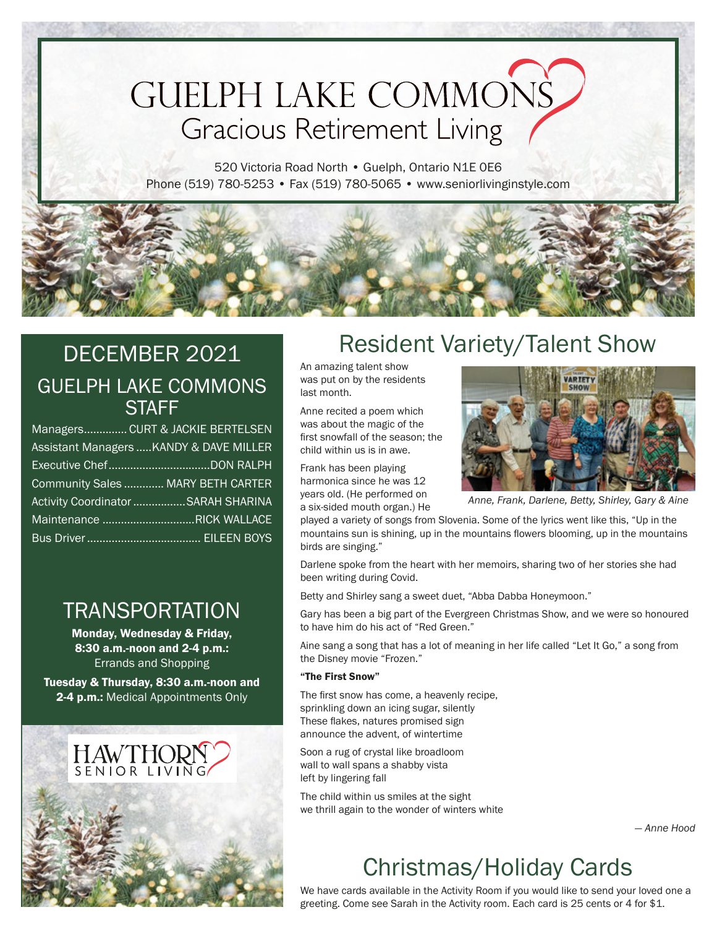# **GUELPH LAKE COMMONS Gracious Retirement Living**

520 Victoria Road North • Guelph, Ontario N1E 0E6 Phone (519) 780-5253 • Fax (519) 780-5065 • www.seniorlivinginstyle.com

#### DECEMBER 2021 GUELPH LAKE COMMONS **STAFF**

| Managers CURT & JACKIE BERTELSEN        |
|-----------------------------------------|
| Assistant Managers  KANDY & DAVE MILLER |
|                                         |
| Community Sales  MARY BETH CARTER       |
| Activity Coordinator SARAH SHARINA      |
| Maintenance RICK WALLACE                |
|                                         |

#### TRANSPORTATION

Monday, Wednesday & Friday, 8:30 a.m.-noon and 2-4 p.m.: Errands and Shopping

Tuesday & Thursday, 8:30 a.m.-noon and 2-4 p.m.: Medical Appointments Only



## Resident Variety/Talent Show

An amazing talent show was put on by the residents last month.

Anne recited a poem which was about the magic of the first snowfall of the season; the child within us is in awe.

Frank has been playing harmonica since he was 12 years old. (He performed on a six-sided mouth organ.) He



*Anne, Frank, Darlene, Betty, Shirley, Gary & Aine*

played a variety of songs from Slovenia. Some of the lyrics went like this, "Up in the mountains sun is shining, up in the mountains flowers blooming, up in the mountains birds are singing."

Darlene spoke from the heart with her memoirs, sharing two of her stories she had been writing during Covid.

Betty and Shirley sang a sweet duet, "Abba Dabba Honeymoon."

Gary has been a big part of the Evergreen Christmas Show, and we were so honoured to have him do his act of "Red Green."

Aine sang a song that has a lot of meaning in her life called "Let It Go," a song from the Disney movie "Frozen."

#### "The First Snow"

The first snow has come, a heavenly recipe, sprinkling down an icing sugar, silently These flakes, natures promised sign announce the advent, of wintertime

Soon a rug of crystal like broadloom wall to wall spans a shabby vista left by lingering fall

The child within us smiles at the sight we thrill again to the wonder of winters white

*— Anne Hood*

## Christmas/Holiday Cards

We have cards available in the Activity Room if you would like to send your loved one a greeting. Come see Sarah in the Activity room. Each card is 25 cents or 4 for \$1.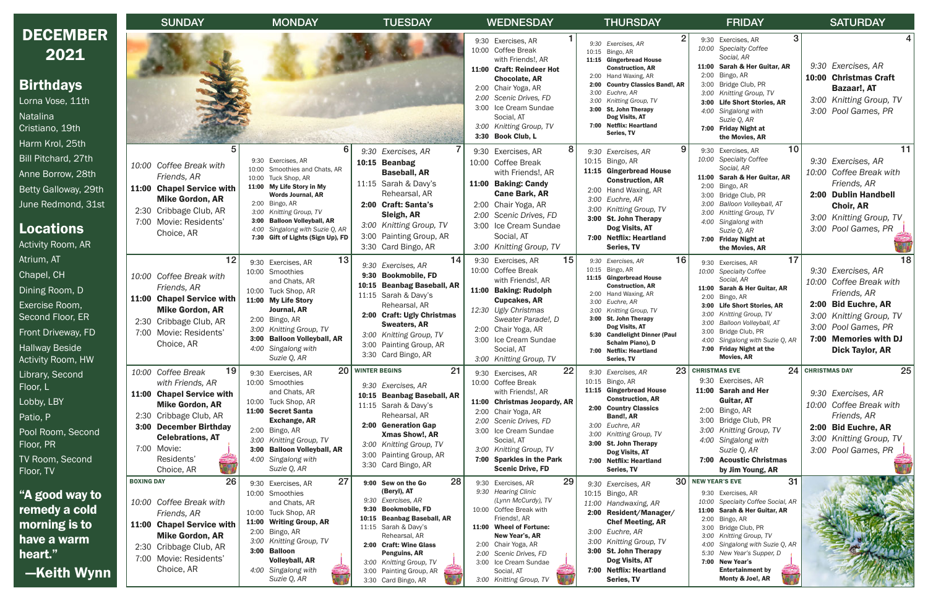|                                                                                                                                                      | <b>SUNDAY</b>                                                                                                                                                                                                                 |                                                                                                                                                                                                                                                                                                        | <b>MONDAY</b><br><b>TUESDAY</b>                                                                                                                                                                                                                                                                           |                                                                                                                                                                                                                                                                                  | <b>THURSDAY</b>                                                                                                                                                                                                                                                                                                                 | <b>FRIDAY</b>                                                                                                                                                                                                                                                                                                                 |  |
|------------------------------------------------------------------------------------------------------------------------------------------------------|-------------------------------------------------------------------------------------------------------------------------------------------------------------------------------------------------------------------------------|--------------------------------------------------------------------------------------------------------------------------------------------------------------------------------------------------------------------------------------------------------------------------------------------------------|-----------------------------------------------------------------------------------------------------------------------------------------------------------------------------------------------------------------------------------------------------------------------------------------------------------|----------------------------------------------------------------------------------------------------------------------------------------------------------------------------------------------------------------------------------------------------------------------------------|---------------------------------------------------------------------------------------------------------------------------------------------------------------------------------------------------------------------------------------------------------------------------------------------------------------------------------|-------------------------------------------------------------------------------------------------------------------------------------------------------------------------------------------------------------------------------------------------------------------------------------------------------------------------------|--|
| <b>DECEMBER</b><br>2021                                                                                                                              |                                                                                                                                                                                                                               |                                                                                                                                                                                                                                                                                                        |                                                                                                                                                                                                                                                                                                           | 9:30 Exercises, AR<br>10:00 Coffee Break<br>with Friends!, AR<br>11:00 Craft: Reindeer Hot                                                                                                                                                                                       | 9:30<br>Exercises, AR<br>10:15<br>Bingo, AR<br>11:15 Gingerbread House<br><b>Construction, AR</b><br>Hand Waxing, AR<br>2:00                                                                                                                                                                                                    | 9:30 Exercises, AR<br>10:00 Specialty Coffee<br>Social, AR<br>11:00 Sarah & Her Guitar, AR<br>Bingo, AR<br>2:00                                                                                                                                                                                                               |  |
| <b>Birthdays</b><br>Lorna Vose, 11th<br>Natalina<br>Cristiano, 19th<br>Harm Krol, 25th                                                               |                                                                                                                                                                                                                               |                                                                                                                                                                                                                                                                                                        |                                                                                                                                                                                                                                                                                                           | <b>Chocolate, AR</b><br>2:00 Chair Yoga, AR<br>2:00 Scenic Drives, FD<br>3:00 Ice Cream Sundae<br>Social, AT<br>3:00 Knitting Group, TV<br>3:30 Book Club, L                                                                                                                     | <b>Country Classics Band!, AR</b><br>2:00<br>3:00<br>Euchre, AR<br>Knitting Group, TV<br>3:00<br>3:00 St. John Therapy<br>Dog Visits, AT<br>7:00 Netflix: Heartland<br><b>Series, TV</b>                                                                                                                                        | 3:00 Bridge Club, PR<br>3:00 Knitting Group, TV<br>3:00 Life Short Stories, AR<br>4:00 Singalong with<br>Suzie Q, AR<br>7:00 Friday Night at<br>the Movies, AR                                                                                                                                                                |  |
| Bill Pitchard, 27th<br>Anne Borrow, 28th<br>Betty Galloway, 29th<br>June Redmond, 31st<br><b>Locations</b><br><b>Activity Room, AR</b>               | 5<br>10:00 Coffee Break with<br>Friends, AR<br>11:00 Chapel Service with<br><b>Mike Gordon, AR</b><br>2:30 Cribbage Club, AR<br>7:00<br>Movie: Residents'<br>Choice, AR                                                       | 6<br>9:30 Exercises, AR<br>10:00 Smoothies and Chats, AR<br>10:00 Tuck Shop, AR<br>11:00 My Life Story in My<br><b>Words Journal, AR</b><br>2:00 Bingo, AR<br>3:00 Knitting Group, TV<br><b>Balloon Volleyball, AR</b><br>3:00<br>4:00 Singalong with Suzie Q, AR<br>7:30 Gift of Lights (Sign Up), FD | 9:30<br>Exercises, AR<br>10:15 Beanbag<br><b>Baseball, AR</b><br>11:15 Sarah & Davy's<br>Rehearsal, AR<br>2:00 Craft: Santa's<br>Sleigh, AR<br>3:00<br><b>Knitting Group, TV</b><br>Painting Group, AR<br>3:00<br>3:30 Card Bingo, AR                                                                     | 9:30 Exercises, AR<br>10:00 Coffee Break<br>with Friends!, AR<br>11:00 Baking: Candy<br><b>Cane Bark, AR</b><br>2:00 Chair Yoga, AR<br>2:00 Scenic Drives, FD<br>3:00 Ice Cream Sundae<br>Social, AT<br>3:00 Knitting Group, TV                                                  | 9:30 Exercises, AR<br>10:15<br>Bingo, AR<br>11:15 Gingerbread House<br><b>Construction, AR</b><br>2:00 Hand Waxing, AR<br>3:00 Euchre, AR<br>3:00 Knitting Group, TV<br>3:00 St. John Therapy<br>Dog Visits, AT<br>7:00 Netflix: Heartland<br>Series, TV                                                                        | 10<br>9:30 Exercises, AR<br>10:00 Specialty Coffee<br>Social, AR<br>11:00 Sarah & Her Guitar, AR<br>2:00 Bingo, AR<br>3:00 Bridge Club, PR<br>3:00 Balloon Volleyball, AT<br>3:00 Knitting Group, TV<br>4:00 Singalong with<br>Suzie Q, AR<br>7:00 Friday Night at<br>the Movies, AR                                          |  |
| Atrium, AT<br>Chapel, CH<br>Dining Room, D<br>Exercise Room,<br>Second Floor, ER<br>Front Driveway, FD<br><b>Hallway Beside</b><br>Activity Room, HW | 12<br>10:00 Coffee Break with<br>Friends, AR<br>11:00 Chapel Service with<br><b>Mike Gordon, AR</b><br>2:30 Cribbage Club, AR<br>Movie: Residents'<br>7:00<br>Choice, AR                                                      | 13<br>9:30 Exercises, AR<br>10:00 Smoothies<br>and Chats, AR<br>10:00 Tuck Shop, AR<br>11:00 My Life Story<br>Journal, AR<br>2:00 Bingo, AR<br>3:00 Knitting Group, TV<br><b>Balloon Volleyball, AR</b><br>3:00<br>4:00 Singalong with<br>Suzie Q, AR                                                  | 14<br>9:30 Exercises, AR<br>9:30<br><b>Bookmobile, FD</b><br><b>Beanbag Baseball, AR</b><br>10:15<br>11:15 Sarah & Davy's<br>Rehearsal, AR<br>2:00 Craft: Ugly Christmas<br><b>Sweaters, AR</b><br>3:00 Knitting Group, TV<br>3:00 Painting Group, AR<br>3:30 Card Bingo, AR                              | 15<br>9:30 Exercises, AR<br>10:00 Coffee Break<br>with Friends!, AR<br>11:00 Baking: Rudolph<br><b>Cupcakes, AR</b><br>12:30 Ugly Christmas<br>Sweater Parade!, D<br>2:00 Chair Yoga, AR<br>3:00 Ice Cream Sundae<br>Social, AT<br>3:00 Knitting Group, TV                       | 16<br>9:30<br>Exercises, AR<br>10:15<br>Bingo, AR<br>11:15 Gingerbread House<br><b>Construction, AR</b><br>2:00<br>Hand Waxing, AR<br>3:00<br>Euchre, AR<br>3:00<br>Knitting Group, TV<br>3:00 St. John Therapy<br>Dog Visits, AT<br>5:30 Candlelight Dinner (Paul<br>Schalm Piano), D<br>7:00 Netflix: Heartland<br>Series, TV | 17<br>9:30 Exercises, AR<br>10:00 Specialty Coffee<br>Social, AR<br>11:00 Sarah & Her Guitar, AR<br>2:00<br>Bingo, AR<br>3:00 Life Short Stories, AR<br>3:00 Knitting Group, TV<br>3:00 Balloon Volleyball, AT<br>3:00 Bridge Club, PR<br>4:00 Singalong with Suzie Q, AR<br>7:00 Friday Night at the<br><b>Movies, AR</b>    |  |
| Library, Second<br>Floor, L<br>Lobby, LBY<br>Patio, P<br>Pool Room, Second<br>Floor, PR<br>TV Room, Second<br>Floor, TV                              | 19<br>10:00 Coffee Break<br>with Friends, AR<br>11:00 Chapel Service with<br><b>Mike Gordon, AR</b><br>2:30 Cribbage Club, AR<br>3:00 December Birthday<br><b>Celebrations, AT</b><br>7:00 Movie:<br>Residents'<br>Choice, AR | 9:30 Exercises, AR<br>10:00 Smoothies<br>and Chats, AR<br>10:00 Tuck Shop, AR<br>11:00 Secret Santa<br><b>Exchange, AR</b><br>2:00 Bingo, AR<br>3:00 Knitting Group, TV<br>3:00 Balloon Volleyball, AR<br>4:00 Singalong with<br>Suzie Q, AR                                                           | 20   WINTER BEGINS<br>21<br>9:30 Exercises, AR<br><b>Beanbag Baseball, AR</b><br>10:15<br>11:15 Sarah & Davy's<br>Rehearsal, AR<br>2:00 Generation Gap<br><b>Xmas Show!, AR</b><br>3:00 Knitting Group, TV<br>3:00<br>Painting Group, AR<br>3:30 Card Bingo, AR                                           | 22<br>9:30 Exercises, AR<br>10:00 Coffee Break<br>with Friends!, AR<br>11:00 Christmas Jeopardy, AR<br>2:00 Chair Yoga, AR<br>2:00 Scenic Drives, FD<br>3:00 Ice Cream Sundae<br>Social, AT<br>3:00 Knitting Group, TV<br>7:00 Sparkles in the Park<br><b>Scenic Drive, FD</b>   | 23<br>9:30 Exercises, AR<br>10:15 Bingo, AR<br>11:15 Gingerbread House<br><b>Construction, AR</b><br>2:00 Country Classics<br>Band!, AR<br>3:00 Euchre, AR<br>3:00<br>Knitting Group, TV<br>3:00 St. John Therapy<br>Dog Visits, AT<br>7:00 Netflix: Heartland<br>Series, TV                                                    | <b>CHRISTMAS EVE</b><br>24<br>9:30 Exercises, AR<br>11:00 Sarah and Her<br><b>Guitar, AT</b><br>2:00 Bingo, AR<br>3:00 Bridge Club, PR<br>3:00 Knitting Group, TV<br>4:00 Singalong with<br>Suzie Q, AR<br>7:00 Acoustic Christmas<br>by Jim Young, AR                                                                        |  |
| "A good way to<br>remedy a cold<br>morning is to<br>have a warm<br><u>heart."</u><br>-Keith Wynn                                                     | 26<br><b>BOXING DAY</b><br>10:00 Coffee Break with<br>Friends, AR<br>11:00 Chapel Service with<br><b>Mike Gordon, AR</b><br>2:30 Cribbage Club, AR<br>7:00 Movie: Residents'<br>Choice, AR                                    | 27<br>9:30 Exercises, AR<br>10:00 Smoothies<br>and Chats, AR<br>10:00 Tuck Shop, AR<br>11:00 Writing Group, AR<br>2:00 Bingo, AR<br>3:00 Knitting Group, TV<br>3:00 Balloon<br><b>Volleyball, AR</b><br>4:00 Singalong with<br>Suzie Q, AR                                                             | 28<br>9:00 Sew on the Go<br>(Beryl), AT<br>9:30 Exercises, AR<br>9:30<br><b>Bookmobile, FD</b><br><b>Beanbag Baseball, AR</b><br>10:15<br>11:15 Sarah & Davy's<br>Rehearsal, AR<br>2:00 Craft: Wine Glass<br>Penguins, AR<br>3:00 Knitting Group, TV<br>3:00<br>Painting Group, AR<br>3:30 Card Bingo, AR | 29<br>9:30 Exercises, AR<br>9:30 Hearing Clinic<br>(Lynn McCurdy), TV<br>10:00 Coffee Break with<br>Friends!, AR<br>11:00 Wheel of Fortune:<br>New Year's, AR<br>2:00 Chair Yoga, AR<br>2:00 Scenic Drives, FD<br>3:00 Ice Cream Sundae<br>Social, AT<br>3:00 Knitting Group, TV | 30<br>9:30<br>Exercises, AR<br>10:15<br>Bingo, AR<br>Handwaxing, AR<br>11:00<br>Resident/Manager/<br>2:00<br><b>Chef Meeting, AR</b><br>3:00 Euchre, AR<br>3:00 Knitting Group, TV<br>3:00 St. John Therapy<br>Dog Visits, AT<br>7:00 Netflix: Heartland<br>Series, TV                                                          | <b>NEW YEAR'S EVE</b><br>31<br>9:30 Exercises, AR<br>10:00 Specialty Coffee Social, AR<br>11:00 Sarah & Her Guitar, AR<br>2:00 Bingo, AR<br>3:00 Bridge Club, PR<br>3:00 Knitting Group, TV<br>4:00 Singalong with Suzie Q, AR<br>5:30 New Year's Supper, D<br>7:00 New Year's<br><b>Entertainment by</b><br>Monty & Joe!, AR |  |

| <b>WEDNESDAY</b>                    |              | <b>THURSDAY</b>                                           |                      | <b>FRIDAY</b>                                |                      | <b>SATURDAY</b>         |
|-------------------------------------|--------------|-----------------------------------------------------------|----------------------|----------------------------------------------|----------------------|-------------------------|
| 1<br>Exercises, AR                  | 9:30         | $\overline{2}$<br>Exercises, AR                           | 9:30                 | 3<br>Exercises, AR                           |                      | $\overline{\mathbf{4}}$ |
| Coffee Break                        | 10:15        | Bingo, AR                                                 | 10:00                | <b>Specialty Coffee</b>                      |                      |                         |
| with Friends!, AR                   | 11:15        | <b>Gingerbread House</b>                                  |                      | Social, AR                                   |                      |                         |
| <b>Craft: Reindeer Hot</b>          |              | <b>Construction, AR</b>                                   | 11:00                | Sarah & Her Guitar, AR                       |                      | 9:30 Exercises, AR      |
| <b>Chocolate, AR</b>                | 2:00         | 2:00 Hand Waxing, AR<br><b>Country Classics Band!, AR</b> | 2:00<br>3:00         | Bingo, AR<br>Bridge Club, PR                 | 10:00                | <b>Christmas Craft</b>  |
| Chair Yoga, AR                      | 3:00         | Euchre, AR                                                | 3:00                 | Knitting Group, TV                           |                      | Bazaar!, AT             |
| Scenic Drives, FD                   | 3:00         | Knitting Group, TV                                        | 3:00                 | <b>Life Short Stories, AR</b>                |                      | 3:00 Knitting Group, TV |
| Ice Cream Sundae                    | 3:00         | <b>St. John Therapy</b>                                   | 4:00                 | Singalong with                               |                      | 3:00 Pool Games, PR     |
| Social, AT<br>Knitting Group, TV    |              | Dog Visits, AT<br>7:00 Netflix: Heartland                 |                      | Suzie Q, AR                                  |                      |                         |
| <b>Book Club, L</b>                 |              | Series, TV                                                |                      | 7:00 Friday Night at<br>the Movies, AR       |                      |                         |
| 8<br>Exercises, AR                  | 9:30         | 9<br>Exercises, AR                                        | 9:30                 | 10<br>Exercises, AR                          |                      | 11                      |
| <b>Coffee Break</b>                 | 10:15        | Bingo, AR                                                 | 10:00                | <b>Specialty Coffee</b>                      | 9:30                 | Exercises, AR           |
| with Friends!, AR                   | 11:15        | <b>Gingerbread House</b>                                  |                      | Social, AR                                   |                      | 10:00 Coffee Break with |
| <b>Baking: Candy</b>                |              | <b>Construction, AR</b>                                   | 11:00                | <b>Sarah &amp; Her Guitar, AR</b>            |                      | Friends, AR             |
| <b>Cane Bark, AR</b>                |              | 2:00 Hand Waxing, AR                                      | 2:00<br>3:00         | Bingo, AR<br>Bridge Club, PR                 |                      | 2:00 Dublin Handbell    |
| Chair Yoga, AR                      | 3:00         | Euchre, AR                                                | 3:00                 | Balloon Volleyball, AT                       |                      | <b>Choir, AR</b>        |
| Scenic Drives, FD                   | 3:00         | Knitting Group, TV                                        | 3:00                 | Knitting Group, TV                           |                      |                         |
| Ice Cream Sundae                    | 3:00         | <b>St. John Therapy</b>                                   | 4:00                 | Singalong with                               | 3:00                 | Knitting Group, TV      |
| Social, AT                          |              | Dog Visits, AT                                            |                      | Suzie Q, AR                                  |                      | 3:00 Pool Games, PR     |
| Knitting Group, TV                  | 7:00         | <b>Netflix: Heartland</b><br>Series, TV                   | 7:00                 | <b>Friday Night at</b><br>the Movies, AR     |                      |                         |
| 15<br>Exercises, AR                 | 9:30         | 16<br>Exercises, AR                                       |                      | 17                                           |                      | 18                      |
| <b>Coffee Break</b>                 | 10:15        | Bingo, AR                                                 | 9:30<br>10:00        | Exercises, AR<br><b>Specialty Coffee</b>     | 9:30                 | Exercises, AR           |
| with Friends!, AR                   | 11:15        | <b>Gingerbread House</b>                                  |                      | Social, AR                                   | 10:00                | Coffee Break with       |
| <b>Baking: Rudolph</b>              |              | <b>Construction, AR</b>                                   | 11:00                | Sarah & Her Guitar, AR                       |                      |                         |
| <b>Cupcakes, AR</b>                 | 2:00<br>3:00 | Hand Waxing, AR<br>Euchre, AR                             | 2:00                 | Bingo, AR                                    |                      | Friends, AR             |
| Ugly Christmas                      | 3:00         | Knitting Group, TV                                        | 3:00                 | <b>Life Short Stories, AR</b>                | 2:00                 | <b>Bid Euchre, AR</b>   |
| Sweater Parade!, D                  | 3:00         | <b>St. John Therapy</b>                                   | 3:00<br>3:00         | Knitting Group, TV<br>Balloon Volleyball, AT | 3:00                 | Knitting Group, TV      |
| Chair Yoga, AR                      |              | Dog Visits, AT                                            | 3:00                 | Bridge Club, PR                              | 3:00                 | Pool Games, PR          |
| Ice Cream Sundae                    |              | 5:30 Candlelight Dinner (Paul<br>Schalm Piano), D         | 4:00                 | Singalong with Suzie Q, AR                   | 7:00                 | <b>Memories with DJ</b> |
| Social, AT                          |              | 7:00 Netflix: Heartland                                   | 7:00                 | <b>Friday Night at the</b>                   |                      | <b>Dick Taylor, AR</b>  |
| Knitting Group, TV                  |              | Series, TV                                                |                      | <b>Movies, AR</b>                            |                      |                         |
| 22<br>Exercises, AR                 | 9:30         | 23<br>Exercises, AR                                       | <b>CHRISTMAS EVE</b> | 24                                           | <b>CHRISTMAS DAY</b> | 25                      |
| Coffee Break                        | 10:15        | Bingo, AR                                                 |                      | 9:30 Exercises, AR                           |                      |                         |
| with Friends!, AR                   |              | 11:15 Gingerbread House<br><b>Construction, AR</b>        |                      | 11:00 Sarah and Her<br><b>Guitar, AT</b>     |                      | 9:30 Exercises, AR      |
| <b>Christmas Jeopardy, AR</b>       |              | 2:00 Country Classics                                     | 2:00                 | Bingo, AR                                    |                      | 10:00 Coffee Break with |
| Chair Yoga, AR<br>Scenic Drives, FD |              | Band!, AR                                                 | 3:00                 | Bridge Club, PR                              |                      | Friends, AR             |
| Ice Cream Sundae                    | 3:00         | Euchre, AR                                                | 3:00                 | Knitting Group, TV                           |                      | 2:00 Bid Euchre, AR     |
| Social, AT                          | 3:00         | Knitting Group, TV                                        | 4:00                 | Singalong with                               |                      | 3:00 Knitting Group, TV |
| Knitting Group, TV                  |              | 3:00 St. John Therapy<br>Dog Visits, AT                   |                      | Suzie Q, AR                                  |                      | 3:00 Pool Games, PR     |
| <b>Sparkles in the Park</b>         |              | 7:00 Netflix: Heartland                                   |                      | 7:00 Acoustic Christmas                      |                      |                         |
| <b>Scenic Drive, FD</b>             |              | Series, TV                                                |                      | by Jim Young, AR                             |                      |                         |
| 29<br>Exercises, AR                 | 9:30         | 30<br>Exercises, AR                                       |                      | 31<br><b>NEW YEAR'S EVE</b>                  |                      |                         |
| <b>Hearing Clinic</b>               | 10:15        | Bingo, AR                                                 | 9:30                 | Exercises, AR                                |                      |                         |
| (Lynn McCurdy), TV                  | 11:00        | Handwaxing, AR                                            | 10:00                | Specialty Coffee Social, AR                  |                      |                         |
| Coffee Break with<br>Friends!, AR   | 2:00         | Resident/Manager/                                         | 11:00                | Sarah & Her Guitar, AR                       |                      |                         |
| <b>Wheel of Fortune:</b>            |              | <b>Chef Meeting, AR</b>                                   | 2:00<br>3:00         | Bingo, AR<br>Bridge Club, PR                 |                      |                         |
| New Year's, AR                      |              | 3:00 Euchre, AR                                           | 3:00                 | Knitting Group, TV                           |                      |                         |
| Chair Yoga, AR                      | 3:00         | Knitting Group, TV                                        | 4:00                 | Singalong with Suzie Q, AR                   |                      |                         |
| Scenic Drives, FD                   |              | 3:00 St. John Therapy                                     | 5:30                 | New Year's Supper, D                         |                      |                         |
| Ice Cream Sundae                    |              | Dog Visits, AT<br>7:00 Netflix: Heartland                 | 7:00                 | <b>New Year's</b><br><b>Entertainment by</b> |                      |                         |
| Social, AT<br>Knitting Group, TV    |              | Series, TV                                                |                      | Monty & Joe!, AR                             |                      |                         |
|                                     |              |                                                           |                      |                                              |                      |                         |